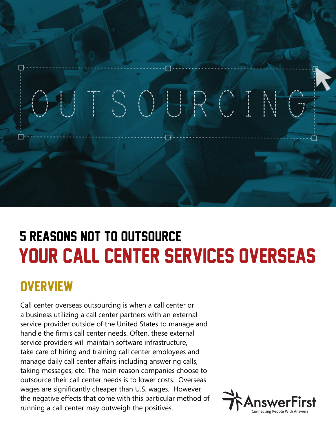

# Your Call Center Services Overseas 5 Reasons Not to Outsource

## **OVERVIEW**

Call center overseas outsourcing is when a call center or a business utilizing a call center partners with an external service provider outside of the United States to manage and handle the firm's call center needs. Often, these external service providers will maintain software infrastructure, take care of hiring and training call center employees and manage daily call center affairs including answering calls, taking messages, etc. The main reason companies choose to outsource their call center needs is to lower costs. Overseas wages are significantly cheaper than U.S. wages. However, the negative effects that come with this particular method of running a call center may outweigh the positives.

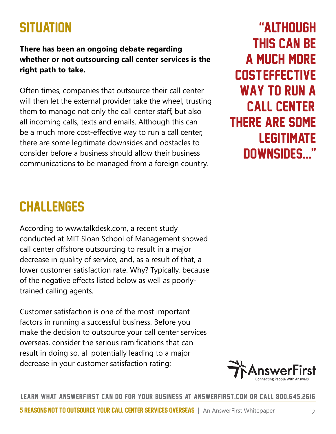## **SITUATION**

### **There has been an ongoing debate regarding whether or not outsourcing call center services is the right path to take.**

Often times, companies that outsource their call center will then let the external provider take the wheel, trusting them to manage not only the call center staff, but also all incoming calls, texts and emails. Although this can be a much more cost-effective way to run a call center, there are some legitimate downsides and obstacles to consider before a business should allow their business communications to be managed from a foreign country.

"Although this can be a much more cost-effective way to run a call center, there are some **LEGITIMATE** downsides..."

## **CHALLENGES**

According to www.talkdesk.com, a recent study conducted at MIT Sloan School of Management showed call center offshore outsourcing to result in a major decrease in quality of service, and, as a result of that, a lower customer satisfaction rate. Why? Typically, because of the negative effects listed below as well as poorlytrained calling agents.

Customer satisfaction is one of the most important factors in running a successful business. Before you make the decision to outsource your call center services overseas, consider the serious ramifications that can result in doing so, all potentially leading to a major decrease in your customer satisfaction rating:

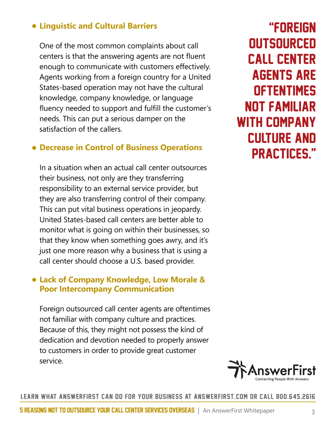### • **Linguistic and Cultural Barriers**

One of the most common complaints about call centers is that the answering agents are not fluent enough to communicate with customers effectively. Agents working from a foreign country for a United States-based operation may not have the cultural knowledge, company knowledge, or language fluency needed to support and fulfill the customer's needs. This can put a serious damper on the satisfaction of the callers.

### • **Decrease in Control of Business Operations**

In a situation when an actual call center outsources their business, not only are they transferring responsibility to an external service provider, but they are also transferring control of their company. This can put vital business operations in jeopardy. United States-based call centers are better able to monitor what is going on within their businesses, so that they know when something goes awry, and it's just one more reason why a business that is using a call center should choose a U.S. based provider.

### • **Lack of Company Knowledge, Low Morale & Poor Intercompany Communication**

Foreign outsourced call center agents are oftentimes not familiar with company culture and practices. Because of this, they might not possess the kind of dedication and devotion needed to properly answer to customers in order to provide great customer service.

"Foreign **OUTSOURCED** call center agents are **OFTENTIMES** not familiar with company culture and practices."

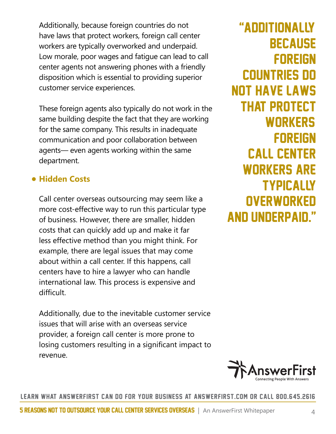Additionally, because foreign countries do not have laws that protect workers, foreign call center workers are typically overworked and underpaid. Low morale, poor wages and fatigue can lead to call center agents not answering phones with a friendly disposition which is essential to providing superior customer service experiences.

These foreign agents also typically do not work in the same building despite the fact that they are working for the same company. This results in inadequate communication and poor collaboration between agents— even agents working within the same department.

### • **Hidden Costs**

Call center overseas outsourcing may seem like a more cost-effective way to run this particular type of business. However, there are smaller, hidden costs that can quickly add up and make it far less effective method than you might think. For example, there are legal issues that may come about within a call center. If this happens, call centers have to hire a lawyer who can handle international law. This process is expensive and difficult.

Additionally, due to the inevitable customer service issues that will arise with an overseas service provider, a foreign call center is more prone to losing customers resulting in a significant impact to revenue.

## "Additionally, **BECAUSE FOREIGN** countries do not have laws that protect **WORKERS FOREIGN** call center workers are **TYPICALLY OVERWORKED** and underpaid."